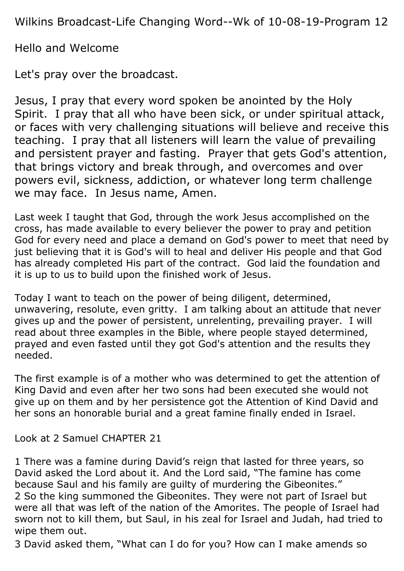Wilkins Broadcast-Life Changing Word--Wk of 10-08-19-Program 12

Hello and Welcome

Let's pray over the broadcast.

Jesus, I pray that every word spoken be anointed by the Holy Spirit. I pray that all who have been sick, or under spiritual attack, or faces with very challenging situations will believe and receive this teaching. I pray that all listeners will learn the value of prevailing and persistent prayer and fasting. Prayer that gets God's attention, that brings victory and break through, and overcomes and over powers evil, sickness, addiction, or whatever long term challenge we may face. In Jesus name, Amen.

Last week I taught that God, through the work Jesus accomplished on the cross, has made available to every believer the power to pray and petition God for every need and place a demand on God's power to meet that need by just believing that it is God's will to heal and deliver His people and that God has already completed His part of the contract. God laid the foundation and it is up to us to build upon the finished work of Jesus.

Today I want to teach on the power of being diligent, determined, unwavering, resolute, even gritty. I am talking about an attitude that never gives up and the power of persistent, unrelenting, prevailing prayer. I will read about three examples in the Bible, where people stayed determined, prayed and even fasted until they got God's attention and the results they needed.

The first example is of a mother who was determined to get the attention of King David and even after her two sons had been executed she would not give up on them and by her persistence got the Attention of Kind David and her sons an honorable burial and a great famine finally ended in Israel.

Look at 2 Samuel CHAPTER 21

1 There was a famine during David's reign that lasted for three years, so David asked the Lord about it. And the Lord said, "The famine has come because Saul and his family are guilty of murdering the Gibeonites." 2 So the king summoned the Gibeonites. They were not part of Israel but were all that was left of the nation of the Amorites. The people of Israel had sworn not to kill them, but Saul, in his zeal for Israel and Judah, had tried to wipe them out.

3 David asked them, "What can I do for you? How can I make amends so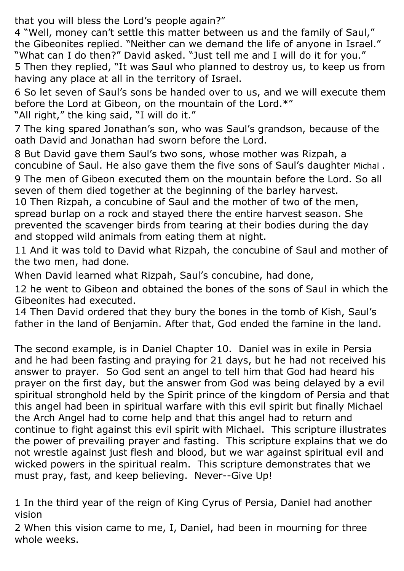that you will bless the Lord's people again?"

4 "Well, money can't settle this matter between us and the family of Saul," the Gibeonites replied. "Neither can we demand the life of anyone in Israel." "What can I do then?" David asked. "Just tell me and I will do it for you." 5 Then they replied, "It was Saul who planned to destroy us, to keep us from having any place at all in the territory of Israel.

6 So let seven of Saul's sons be handed over to us, and we will execute them before the Lord at Gibeon, on the mountain of the Lord.\*"

"All right," the king said, "I will do it."

7 The king spared Jonathan's son, who was Saul's grandson, because of the oath David and Jonathan had sworn before the Lord.

8 But David gave them Saul's two sons, whose mother was Rizpah, a concubine of Saul. He also gave them the five sons of Saul's daughter Michal .

9 The men of Gibeon executed them on the mountain before the Lord. So all seven of them died together at the beginning of the barley harvest.

10 Then Rizpah, a concubine of Saul and the mother of two of the men, spread burlap on a rock and stayed there the entire harvest season. She prevented the scavenger birds from tearing at their bodies during the day and stopped wild animals from eating them at night.

11 And it was told to David what Rizpah, the concubine of Saul and mother of the two men, had done.

When David learned what Rizpah, Saul's concubine, had done,

12 he went to Gibeon and obtained the bones of the sons of Saul in which the Gibeonites had executed.

14 Then David ordered that they bury the bones in the tomb of Kish, Saul's father in the land of Benjamin. After that, God ended the famine in the land.

The second example, is in Daniel Chapter 10. Daniel was in exile in Persia and he had been fasting and praying for 21 days, but he had not received his answer to prayer. So God sent an angel to tell him that God had heard his prayer on the first day, but the answer from God was being delayed by a evil spiritual stronghold held by the Spirit prince of the kingdom of Persia and that this angel had been in spiritual warfare with this evil spirit but finally Michael the Arch Angel had to come help and that this angel had to return and continue to fight against this evil spirit with Michael. This scripture illustrates the power of prevailing prayer and fasting. This scripture explains that we do not wrestle against just flesh and blood, but we war against spiritual evil and wicked powers in the spiritual realm. This scripture demonstrates that we must pray, fast, and keep believing. Never--Give Up!

1 In the third year of the reign of King Cyrus of Persia, Daniel had another vision

2 When this vision came to me, I, Daniel, had been in mourning for three whole weeks.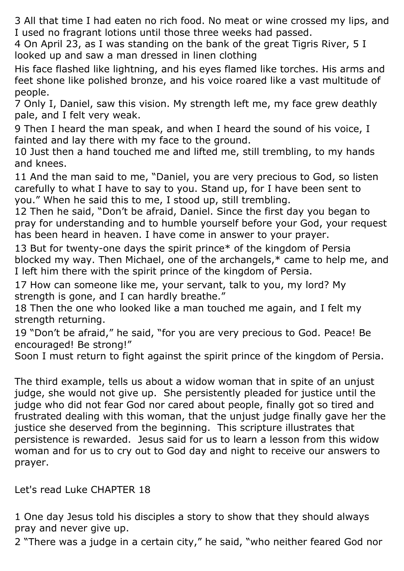3 All that time I had eaten no rich food. No meat or wine crossed my lips, and I used no fragrant lotions until those three weeks had passed.

4 On April 23, as I was standing on the bank of the great Tigris River, 5 I looked up and saw a man dressed in linen clothing

His face flashed like lightning, and his eyes flamed like torches. His arms and feet shone like polished bronze, and his voice roared like a vast multitude of people.

7 Only I, Daniel, saw this vision. My strength left me, my face grew deathly pale, and I felt very weak.

9 Then I heard the man speak, and when I heard the sound of his voice, I fainted and lay there with my face to the ground.

10 Just then a hand touched me and lifted me, still trembling, to my hands and knees.

11 And the man said to me, "Daniel, you are very precious to God, so listen carefully to what I have to say to you. Stand up, for I have been sent to you." When he said this to me, I stood up, still trembling.

12 Then he said, "Don't be afraid, Daniel. Since the first day you began to pray for understanding and to humble yourself before your God, your request has been heard in heaven. I have come in answer to your prayer.

13 But for twenty-one days the spirit prince\* of the kingdom of Persia blocked my way. Then Michael, one of the archangels,\* came to help me, and I left him there with the spirit prince of the kingdom of Persia.

17 How can someone like me, your servant, talk to you, my lord? My strength is gone, and I can hardly breathe."

18 Then the one who looked like a man touched me again, and I felt my strength returning.

19 "Don't be afraid," he said, "for you are very precious to God. Peace! Be encouraged! Be strong!"

Soon I must return to fight against the spirit prince of the kingdom of Persia.

The third example, tells us about a widow woman that in spite of an unjust judge, she would not give up. She persistently pleaded for justice until the judge who did not fear God nor cared about people, finally got so tired and frustrated dealing with this woman, that the unjust judge finally gave her the justice she deserved from the beginning. This scripture illustrates that persistence is rewarded. Jesus said for us to learn a lesson from this widow woman and for us to cry out to God day and night to receive our answers to prayer.

Let's read Luke CHAPTER 18

1 One day Jesus told his disciples a story to show that they should always pray and never give up.

2 "There was a judge in a certain city," he said, "who neither feared God nor